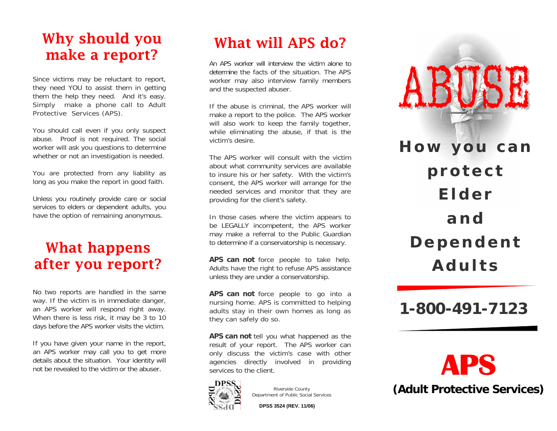## Why should you make a report?

Since victims may be reluctant to report, they need YOU to assist them in getting them the help they need. And it's easy. Simply make a phone call to Adult Protective Services (APS).

You should call even if you only suspect abuse. Proof is not required. The social worker will ask you questions to determine whether or not an investigation is needed.

You are protected from any liability as long as you make the report in good faith.

Unless you routinely provide care or social services to elders or dependent adults, you have the option of remaining anonymous.

#### What happens after you report?

No two reports are handled in the same way. If the victim is in immediate danger, an APS worker will respond right away. When there is less risk, it may be 3 to 10 days before the APS worker visits the victim.

If you have given your name in the report, an APS worker may call you to get more details about the situation. Your identity will not be revealed to the victim or the abuser.

# What will APS do?

An APS worker will interview the victim alone to determine the facts of the situation. The APS worker may also interview family members and the suspected abuser.

If the abuse is criminal, the APS worker will make a report to the police. The APS worker will also work to keep the family together, while eliminating the abuse, if that is the victim's desire.

The APS worker will consult with the victim about what community services are available to insure his or her safety. With the victim's consent, the APS worker will arrange for the needed services and monitor that they are providing for the client's safety.

In those cases where the victim appears to be LEGALLY incompetent, the APS worker may make a referral to the Public Guardian to determine if a conservatorship is necessary.

**APS can not** force people to take help. Adults have the right to refuse APS assistance unless they are under a conservatorship.

**APS can not** force people to go into a nursing home. APS is committed to helping adults stay in their own homes as long as they can safely do so.

**APS can not** tell you what happened as the result of your report. The APS worker can only discuss the victim's case with other agencies directly involved in providing services to the client.



Riverside County Department of Public Social Services

**DPSS 3524 (REV. 11/06)**

**How you can protect Elder and Dependent Adults** 

**1-800-491-7123**



**(Adult Protective Services)**